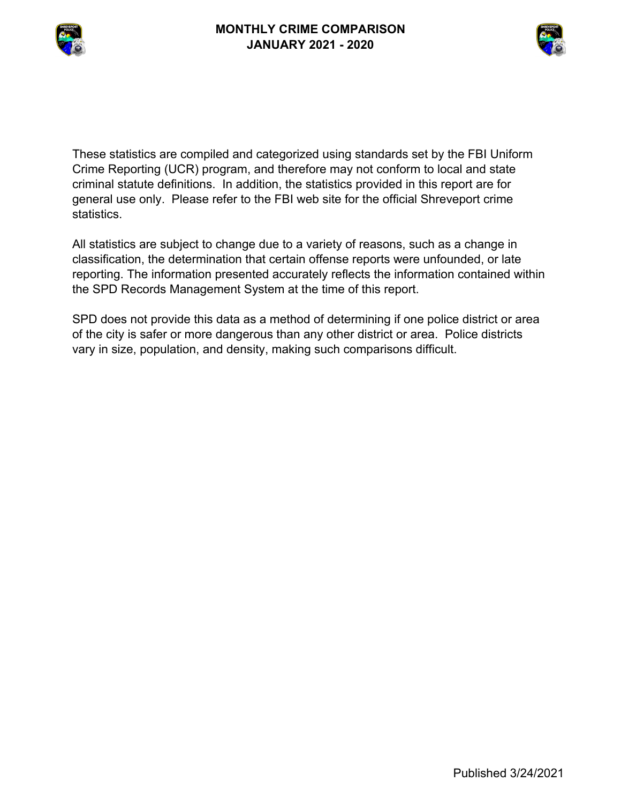



These statistics are compiled and categorized using standards set by the FBI Uniform Crime Reporting (UCR) program, and therefore may not conform to local and state criminal statute definitions. In addition, the statistics provided in this report are for general use only. Please refer to the FBI web site for the official Shreveport crime statistics.

All statistics are subject to change due to a variety of reasons, such as a change in classification, the determination that certain offense reports were unfounded, or late reporting. The information presented accurately reflects the information contained within the SPD Records Management System at the time of this report.

SPD does not provide this data as a method of determining if one police district or area of the city is safer or more dangerous than any other district or area. Police districts vary in size, population, and density, making such comparisons difficult.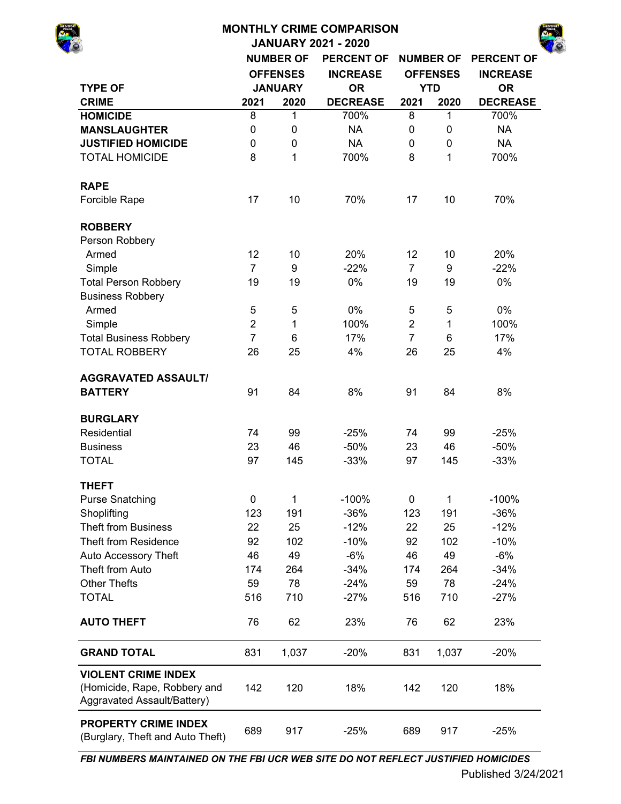| <b>MONTHLY CRIME COMPARISON</b>                                                           |                  |                  |                   |                |                 |                   |  |  |  |  |  |  |  |
|-------------------------------------------------------------------------------------------|------------------|------------------|-------------------|----------------|-----------------|-------------------|--|--|--|--|--|--|--|
| <b>JANUARY 2021 - 2020</b><br><b>PERCENT OF</b>                                           |                  |                  |                   |                |                 |                   |  |  |  |  |  |  |  |
|                                                                                           | <b>NUMBER OF</b> | <b>NUMBER OF</b> | <b>PERCENT OF</b> |                |                 |                   |  |  |  |  |  |  |  |
|                                                                                           |                  | <b>OFFENSES</b>  | <b>INCREASE</b>   |                | <b>OFFENSES</b> | <b>INCREASE</b>   |  |  |  |  |  |  |  |
| <b>TYPE OF</b>                                                                            |                  | <b>JANUARY</b>   | <b>OR</b>         |                | <b>YTD</b>      | <b>OR</b>         |  |  |  |  |  |  |  |
| <b>CRIME</b>                                                                              | 2021             | 2020             | <b>DECREASE</b>   | 2021           | 2020            | <b>DECREASE</b>   |  |  |  |  |  |  |  |
| <b>HOMICIDE</b>                                                                           | 8                | $\mathbf 1$      | 700%              | 8              | 1               | 700%              |  |  |  |  |  |  |  |
| <b>MANSLAUGHTER</b>                                                                       | $\mathbf 0$      | $\mathbf 0$      | <b>NA</b>         | $\mathbf 0$    | $\mathbf 0$     | <b>NA</b>         |  |  |  |  |  |  |  |
| <b>JUSTIFIED HOMICIDE</b>                                                                 | 0                | 0                | <b>NA</b>         | $\mathbf 0$    | 0               | <b>NA</b>         |  |  |  |  |  |  |  |
| <b>TOTAL HOMICIDE</b>                                                                     | 8                | 1                | 700%              | 8              | 1               | 700%              |  |  |  |  |  |  |  |
| <b>RAPE</b>                                                                               |                  |                  |                   |                |                 |                   |  |  |  |  |  |  |  |
| Forcible Rape                                                                             | 17               | 10               | 70%               | 17             | 10              | 70%               |  |  |  |  |  |  |  |
| <b>ROBBERY</b>                                                                            |                  |                  |                   |                |                 |                   |  |  |  |  |  |  |  |
| Person Robbery                                                                            |                  |                  |                   |                |                 |                   |  |  |  |  |  |  |  |
| Armed                                                                                     | 12               | 10               | 20%               | 12             | 10              | 20%               |  |  |  |  |  |  |  |
| Simple                                                                                    | $\overline{7}$   | 9                | $-22%$            | $\overline{7}$ | 9               | $-22%$            |  |  |  |  |  |  |  |
| <b>Total Person Robbery</b>                                                               | 19               | 19               | 0%                | 19             | 19              | 0%                |  |  |  |  |  |  |  |
| <b>Business Robbery</b>                                                                   |                  |                  |                   |                |                 |                   |  |  |  |  |  |  |  |
| Armed                                                                                     | 5                | 5                | 0%                | 5              | 5               | 0%                |  |  |  |  |  |  |  |
| Simple                                                                                    | $\overline{2}$   | 1                | 100%              | $\overline{2}$ | $\mathbf{1}$    | 100%              |  |  |  |  |  |  |  |
| <b>Total Business Robbery</b>                                                             | $\overline{7}$   | 6                | 17%               | $\overline{7}$ | 6               | 17%               |  |  |  |  |  |  |  |
| <b>TOTAL ROBBERY</b>                                                                      | 26               | 25               | 4%                | 26             | 25              | 4%                |  |  |  |  |  |  |  |
| <b>AGGRAVATED ASSAULT/</b>                                                                |                  |                  |                   |                |                 |                   |  |  |  |  |  |  |  |
| <b>BATTERY</b>                                                                            | 91               | 84               | 8%                | 91             | 84              | 8%                |  |  |  |  |  |  |  |
| <b>BURGLARY</b>                                                                           |                  |                  |                   |                |                 |                   |  |  |  |  |  |  |  |
| Residential                                                                               | 74               | 99               | $-25%$            | 74             | 99              | $-25%$            |  |  |  |  |  |  |  |
| <b>Business</b>                                                                           | 23               | 46               | $-50%$            | 23             | 46              | $-50%$            |  |  |  |  |  |  |  |
| <b>TOTAL</b>                                                                              | 97               | 145              | $-33%$            | 97             | 145             | $-33%$            |  |  |  |  |  |  |  |
| <b>THEFT</b>                                                                              |                  |                  |                   |                |                 |                   |  |  |  |  |  |  |  |
| <b>Purse Snatching</b>                                                                    | $\mathbf 0$      | 1<br>191         | $-100%$<br>$-36%$ | 0              | 1<br>191        | $-100%$<br>$-36%$ |  |  |  |  |  |  |  |
| Shoplifting                                                                               | 123              |                  |                   | 123            |                 |                   |  |  |  |  |  |  |  |
| <b>Theft from Business</b>                                                                | 22               | 25               | $-12%$            | 22             | 25              | $-12%$            |  |  |  |  |  |  |  |
| Theft from Residence                                                                      | 92               | 102              | $-10%$            | 92             | 102             | $-10%$            |  |  |  |  |  |  |  |
| Auto Accessory Theft                                                                      | 46               | 49               | $-6%$             | 46             | 49              | $-6%$             |  |  |  |  |  |  |  |
| Theft from Auto                                                                           | 174              | 264              | $-34%$            | 174            | 264             | $-34%$            |  |  |  |  |  |  |  |
| <b>Other Thefts</b>                                                                       | 59               | 78               | $-24%$            | 59             | 78              | $-24%$            |  |  |  |  |  |  |  |
| <b>TOTAL</b>                                                                              | 516              | 710              | $-27%$            | 516            | 710             | $-27%$            |  |  |  |  |  |  |  |
| <b>AUTO THEFT</b>                                                                         | 76               | 62               | 23%               | 76             | 62              | 23%               |  |  |  |  |  |  |  |
| <b>GRAND TOTAL</b>                                                                        | 831              | 1,037            | $-20%$            | 831            | 1,037           | $-20%$            |  |  |  |  |  |  |  |
| <b>VIOLENT CRIME INDEX</b><br>(Homicide, Rape, Robbery and<br>Aggravated Assault/Battery) | 142              | 120              | 18%               | 142            | 120             | 18%               |  |  |  |  |  |  |  |

689 917 -25% 689 917 -25% **PROPERTY CRIME INDEX**  (Burglary, Theft and Auto Theft)

*FBI NUMBERS MAINTAINED ON THE FBI UCR WEB SITE DO NOT REFLECT JUSTIFIED HOMICIDES*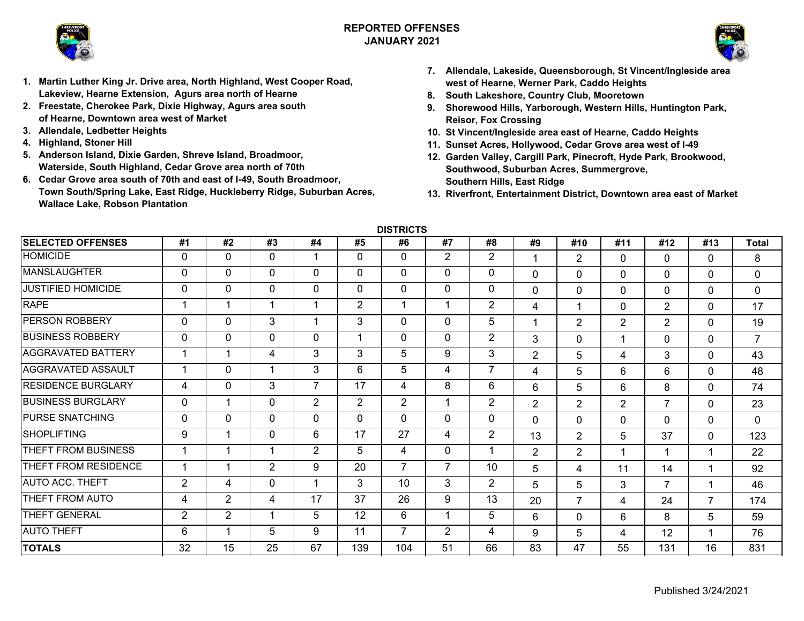

## **REPORTED OFFENSESJANUARY 2021**



- **1. Martin Luther King Jr. Drive area, North Highland, West Cooper Road, Lakeview, Hearne Extension, Agurs area north of Hearne**
- **2. Freestate, Cherokee Park, Dixie Highway, Agurs area south of Hearne, Downtown area west of Market**
- **3. Allendale, Ledbetter Heights**
- **4. Highland, Stoner Hill**
- **5. Anderson Island, Dixie Garden, Shreve Island, Broadmoor, Waterside, South Highland, Cedar Grove area north of 70th**
- **6. Cedar Grove area south of 70th and east of I-49, South Broadmoor, Town South/Spring Lake, East Ridge, Huckleberry Ridge, Suburban Acres, Wallace Lake, Robson Plantation**
- **7. Allendale, Lakeside, Queensborough, St Vincent/Ingleside area west of Hearne, Werner Park, Caddo Heights**
- **8. South Lakeshore, Country Club, Mooretown**
- **9. Shorewood Hills, Yarborough, Western Hills, Huntington Park, Reisor, Fox Crossing**
- **10. St Vincent/Ingleside area east of Hearne, Caddo Heights**
- **11. Sunset Acres, Hollywood, Cedar Grove area west of I-49**
- **12. Garden Valley, Cargill Park, Pinecroft, Hyde Park, Brookwood, Southwood, Suburban Acres, Summergrove, Southern Hills, East Ridge**
- **13. Riverfront, Entertainment District, Downtown area east of Market**

**DISTRICTS**

| <b>SELECTED OFFENSES</b>  | #1             | #2             | #3           | #4             | #5           | #6             | #7             | #8             | #9             | #10            | #11            | #12            | #13            | <b>Total</b>   |
|---------------------------|----------------|----------------|--------------|----------------|--------------|----------------|----------------|----------------|----------------|----------------|----------------|----------------|----------------|----------------|
| <b>HOMICIDE</b>           | 0              | $\mathbf{0}$   | $\mathbf{0}$ |                | $\mathbf{0}$ | 0              | $\overline{2}$ | $\overline{2}$ |                | $\overline{2}$ | 0              | $\mathbf{0}$   | $\mathbf{0}$   | 8              |
| <b>MANSLAUGHTER</b>       | 0              | 0              | $\mathbf{0}$ | $\Omega$       | $\mathbf{0}$ | $\mathbf{0}$   | 0              | 0              | $\mathbf 0$    | $\Omega$       | $\Omega$       | $\Omega$       | $\mathbf 0$    | 0              |
| <b>JUSTIFIED HOMICIDE</b> | $\Omega$       | 0              | 0            | $\Omega$       | $\mathbf{0}$ | $\mathbf{0}$   | 0              | 0              | $\mathbf 0$    | $\Omega$       | 0              | $\mathbf 0$    | $\Omega$       | $\mathbf 0$    |
| <b>RAPE</b>               |                | 1              | 1            |                | 2            | 1              | и              | $\overline{2}$ | $\overline{4}$ | 1              | $\Omega$       | $\overline{2}$ | $\mathbf{0}$   | 17             |
| <b>PERSON ROBBERY</b>     | 0              | 0              | 3            |                | 3            | $\mathbf 0$    | 0              | 5              | -1             | $\overline{2}$ | 2              | $\overline{2}$ | $\mathbf{0}$   | 19             |
| <b>BUSINESS ROBBERY</b>   | $\mathbf 0$    | 0              | $\mathbf{0}$ | 0              |              | $\mathbf{0}$   | 0              | $\overline{2}$ | 3              | $\Omega$       | $\overline{1}$ | $\Omega$       | $\Omega$       | $\overline{7}$ |
| <b>AGGRAVATED BATTERY</b> |                | 1              | 4            | 3              | 3            | 5              | 9              | 3              | $\overline{2}$ | 5              | 4              | 3              | $\Omega$       | 43             |
| <b>AGGRAVATED ASSAULT</b> |                | 0              | 1            | 3              | 6            | 5              | 4              | $\overline{7}$ | $\overline{4}$ | 5              | 6              | 6              | $\mathbf 0$    | 48             |
| <b>RESIDENCE BURGLARY</b> | 4              | 0              | 3            | $\overline{ }$ | 17           | 4              | 8              | 6              | 6              | 5              | 6              | 8              | $\mathbf 0$    | 74             |
| <b>BUSINESS BURGLARY</b>  | 0              | 1              | 0            | $\overline{2}$ | 2            | $\overline{2}$ |                | $\overline{2}$ | $\overline{2}$ | $\overline{2}$ | $\overline{2}$ | $\overline{7}$ | $\mathbf 0$    | 23             |
| <b>PURSE SNATCHING</b>    | $\Omega$       | $\mathbf 0$    | $\mathbf 0$  | $\Omega$       | $\mathbf 0$  | $\Omega$       | $\Omega$       | 0              | $\mathbf 0$    | $\Omega$       | $\Omega$       | $\mathbf{0}$   | $\mathbf{0}$   | $\mathbf{0}$   |
| <b>SHOPLIFTING</b>        | 9              | $\overline{1}$ | $\mathbf 0$  | 6              | 17           | 27             | 4              | $\overline{2}$ | 13             | $\overline{2}$ | 5              | 37             | $\mathbf{0}$   | 123            |
| THEFT FROM BUSINESS       |                | 1              | 1            | $\overline{2}$ | 5            | 4              | $\Omega$       |                | 2              | $\overline{2}$ | 1              | -1             |                | 22             |
| THEFT FROM RESIDENCE      |                | 1              | 2            | 9              | 20           | $\overline{7}$ | 7              | 10             | 5              | 4              | 11             | 14             |                | 92             |
| <b>AUTO ACC. THEFT</b>    | $\overline{2}$ | 4              | 0            |                | 3            | 10             | 3              | $\overline{2}$ | 5              | 5              | 3              | $\overline{7}$ | 1              | 46             |
| THEFT FROM AUTO           | 4              | $\overline{2}$ | 4            | 17             | 37           | 26             | 9              | 13             | 20             | $\overline{7}$ | 4              | 24             | $\overline{7}$ | 174            |
| THEFT GENERAL             | $\overline{2}$ | $\overline{2}$ | 1            | 5              | 12           | 6              |                | 5              | 6              | $\Omega$       | 6              | 8              | 5              | 59             |
| <b>AUTO THEFT</b>         | 6              | 1              | 5            | 9              | 11           | $\overline{7}$ | $\overline{2}$ | 4              | 9              | 5              | 4              | 12             |                | 76             |
| <b>TOTALS</b>             | 32             | 15             | 25           | 67             | 139          | 104            | 51             | 66             | 83             | 47             | 55             | 131            | 16             | 831            |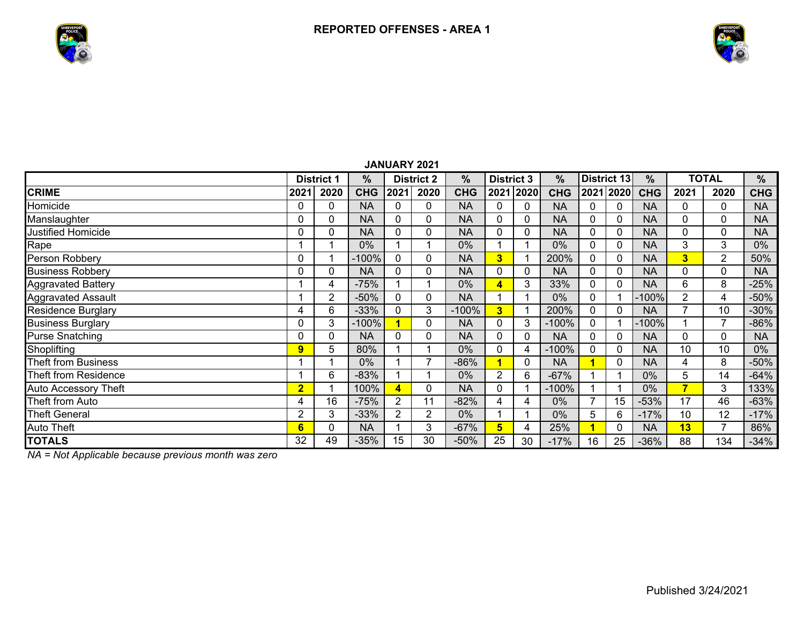



 $\%$ 

## **% % District 3District 1 District 2 %% % District 13 TOTAL CRIME 2021 2020 CHG 2021 2020 CHG 2021 2020**2021 2020 CHG **2021 2020 CHG 2021 2020 CHG** Homicide 0 0 NA 0 0 NA 00 | 0 | NA | 0 | 0 | NA | 0 | 0 | NA Manslaughter | 0 | 0 | NA | 0 | 0 | NA | 0 | 0 | NA | 0 | 0 | 0 | NA Justified Homicide 0 0 NA 0 0 NA 00 | 0 | NA | 0 | 0 | NA | 0 | 0 | NA Rape 1 1 1 1 0% 1 1 1 0% 0 1 1 0% 0 0 NA 3 3 0% Person Robbery 0 1 -100% 0 0 NA **3** 1 200% 0 0 NA **3** 2 50% Business Robbery | 0 | 0 | NA | 0 | 0 | NA | 0 | O AA | 0 | O | NA Aggravated Battery | 1 | 4 | -75% | 1 | 1 | 0% <mark>| 4 |</mark> 3 | 33% | 0 | 0 | NA | 6 | 8 | -25% Aggravated Assault | 1 | 2 | -50% | 0 | 0 | NA | 1 | 1 | 0% | 0 | 1 |-100%| 2 | 4 | -50% Residence Burglary **10 10 -30% 1 1 200 1 1 10 1 -30 1 1 10 1 -30 1** 1 1 200 1 1 200 1 1 200 1 10 1 -30 10 1 -30 <sup>1</sup> Business Burglary | 0 | 3 |-100% <mark> 1 |</mark> 0 | NA | 0 | 3 |-100% | 0 | 1 |-100%| 1 | *7* |-86% Purse Snatching | 0 | 0 | NA | 0 | 0 | NA | 0 | 0 | NA | 0 | 0 | NA Shoplifting <mark> 9 |</mark> 5 | 80% | 1 | 1 | 0% | 0 | 4 |-100% | 0 | 0 | NA | 10 | 10 | 0% Theft from Business 1 1 0% 1 7 -86% $-86\%$  1 0 NA **1** 0 NA 4 8 -50%Theft from Residence 1 6 -83% 1 1 0% 2 6 -67% 1 1 0% 5 14 -64%Auto Accessory Theft **2** 1 100% **4** 0 NA 0 1 -100% 1 1 0% **7** 3 133% Theft from Auto **4 16 -75% 2 11 -82% 4**  4 0% 7 15 -53% 17 46 -63%Theft General 2 3 -33% 2 2 0% 11 1 1 1 0% 1 5 1 6 1-17% 1 10 1 12 1-17% Auto Theft **6** 0 NA 1 3 -67% **5** 4 25% **1** 0 NA **13** 7 86% **TOTALS** 32 49 -35% 15 30 -50% 25 30 -17% 16 25 -36% 88 134 -34%**JANUARY 2021**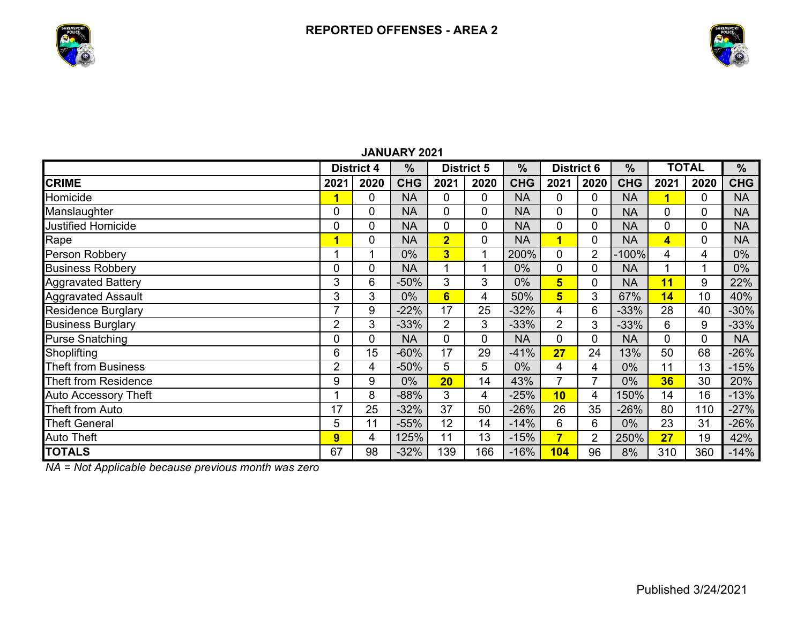



|                             | <b>District 4</b> |             | $\frac{0}{0}$ | <b>District 5</b> |      | $\frac{9}{6}$ | <b>District 6</b>       |                | $\frac{9}{6}$ | <b>TOTAL</b>            |      | $\%$       |  |
|-----------------------------|-------------------|-------------|---------------|-------------------|------|---------------|-------------------------|----------------|---------------|-------------------------|------|------------|--|
| <b>CRIME</b>                | 2021              | 2020        | <b>CHG</b>    | 2021              | 2020 | <b>CHG</b>    | 2021                    | 2020           | <b>CHG</b>    | 2021                    | 2020 | <b>CHG</b> |  |
| Homicide                    |                   | 0           | <b>NA</b>     | 0                 | 0    | <b>NA</b>     | 0                       | 0              | <b>NA</b>     | 1                       | 0    | <b>NA</b>  |  |
| Manslaughter                | 0                 | 0           | <b>NA</b>     | 0                 | 0    | <b>NA</b>     | $\mathbf 0$             | 0              | <b>NA</b>     | $\mathbf{0}$            | 0    | <b>NA</b>  |  |
| Justified Homicide          | $\mathbf 0$       | 0           | <b>NA</b>     | 0                 | 0    | <b>NA</b>     | $\mathbf 0$             | 0              | <b>NA</b>     | $\overline{0}$          | 0    | <b>NA</b>  |  |
| Rape                        | и                 | $\mathbf 0$ | <b>NA</b>     | $\overline{2}$    | 0    | <b>NA</b>     | $\overline{\mathbf{1}}$ | 0              | <b>NA</b>     | $\overline{\mathbf{4}}$ | 0    | <b>NA</b>  |  |
| Person Robbery              |                   | 1           | 0%            | 3 <sup>1</sup>    | 1    | 200%          | $\mathbf{0}$            | $\overline{2}$ | $-100%$       | 4                       | 4    | 0%         |  |
| <b>Business Robbery</b>     | 0                 | $\mathbf 0$ | <b>NA</b>     | 1                 | и    | 0%            | $\mathbf 0$             | 0              | <b>NA</b>     |                         |      | 0%         |  |
| <b>Aggravated Battery</b>   | 3                 | 6           | $-50%$        | 3                 | 3    | 0%            | 5                       | 0              | <b>NA</b>     | 11                      | 9    | 22%        |  |
| <b>Aggravated Assault</b>   | 3                 | 3           | $0\%$         | $6\phantom{a}$    | 4    | 50%           | 5                       | 3              | 67%           | 14                      | 10   | 40%        |  |
| <b>Residence Burglary</b>   | 7                 | 9           | $-22%$        | 17                | 25   | $-32%$        | 4                       | 6              | $-33%$        | 28                      | 40   | $-30%$     |  |
| <b>Business Burglary</b>    | $\overline{2}$    | 3           | $-33%$        | $\overline{2}$    | 3    | $-33%$        | $\overline{2}$          | 3              | $-33%$        | 6                       | 9    | $-33%$     |  |
| <b>Purse Snatching</b>      | 0                 | $\mathbf 0$ | <b>NA</b>     | 0                 | 0    | <b>NA</b>     | $\mathbf 0$             | 0              | <b>NA</b>     | $\mathbf{0}$            | 0    | <b>NA</b>  |  |
| Shoplifting                 | 6                 | 15          | $-60%$        | 17                | 29   | $-41%$        | 27                      | 24             | 13%           | 50                      | 68   | $-26%$     |  |
| <b>Theft from Business</b>  | $\overline{2}$    | 4           | $-50%$        | 5                 | 5    | $0\%$         | 4                       | 4              | 0%            | 11                      | 13   | $-15%$     |  |
| <b>Theft from Residence</b> | 9                 | 9           | 0%            | 20                | 14   | 43%           | $\overline{7}$          | 7              | 0%            | 36                      | 30   | 20%        |  |
| <b>Auto Accessory Theft</b> |                   | 8           | $-88%$        | 3                 | 4    | $-25%$        | 10                      | 4              | 150%          | 14                      | 16   | $-13%$     |  |
| Theft from Auto             | 17                | 25          | $-32%$        | 37                | 50   | $-26%$        | 26                      | 35             | $-26%$        | 80                      | 110  | $-27%$     |  |
| <b>Theft General</b>        | 5                 | 11          | $-55%$        | 12                | 14   | $-14%$        | 6                       | 6              | 0%            | 23                      | 31   | $-26%$     |  |
| <b>Auto Theft</b>           | 9                 | 4           | 125%          | 11                | 13   | $-15%$        | $\overline{7}$          | $\overline{2}$ | 250%          | 27                      | 19   | 42%        |  |
| <b>TOTALS</b>               | 67                | 98          | $-32%$        | 139               | 166  | $-16%$        | 104                     | 96             | 8%            | 310                     | 360  | $-14%$     |  |

**JANUARY 2021**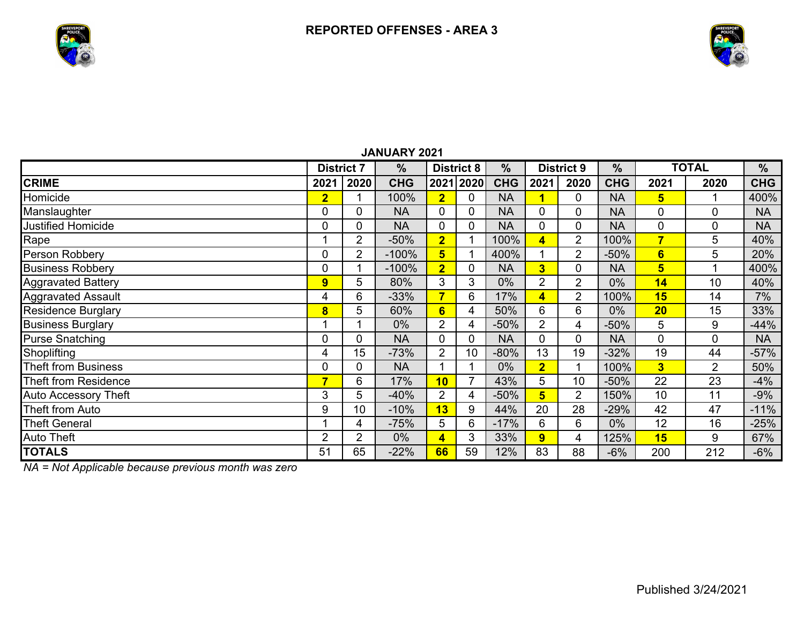



|                            | <b>District 7</b>       |                | $\frac{9}{6}$ | <b>District 8</b> |              | $\frac{0}{0}$ | <b>District 9</b>       |                | $\frac{9}{6}$ | <b>TOTAL</b>            |                | $\frac{0}{0}$ |  |
|----------------------------|-------------------------|----------------|---------------|-------------------|--------------|---------------|-------------------------|----------------|---------------|-------------------------|----------------|---------------|--|
| <b>CRIME</b>               | 2021                    | 2020           | <b>CHG</b>    |                   | 2021 2020    | <b>CHG</b>    | 2021                    | 2020           | <b>CHG</b>    | 2021                    | 2020           | <b>CHG</b>    |  |
| Homicide                   | $\overline{2}$          |                | 100%          | $\overline{2}$    | $\mathbf{0}$ | <b>NA</b>     |                         | 0              | <b>NA</b>     | 5                       |                | 400%          |  |
| Manslaughter               | 0                       | 0              | <b>NA</b>     | $\overline{0}$    | 0            | <b>NA</b>     | 0                       | 0              | <b>NA</b>     | 0                       | 0              | <b>NA</b>     |  |
| <b>Justified Homicide</b>  | 0                       | 0              | <b>NA</b>     | 0                 | 0            | <b>NA</b>     | 0                       | 0              | <b>NA</b>     | 0                       | 0              | <b>NA</b>     |  |
| Rape                       |                         | $\overline{2}$ | $-50%$        | $\overline{2}$    |              | 100%          | 4                       | $\overline{2}$ | 100%          | 7                       | 5              | 40%           |  |
| Person Robbery             | 0                       | 2              | $-100%$       | 5                 |              | 400%          |                         | 2              | $-50%$        | $6\phantom{a}$          | 5              | 20%           |  |
| <b>Business Robbery</b>    |                         |                | $-100%$       | $\overline{2}$    | 0            | <b>NA</b>     | $\overline{\mathbf{3}}$ |                | <b>NA</b>     | 5                       |                | 400%          |  |
| Aggravated Battery         | 9                       | 5              | 80%           | 3                 | 3            | 0%            | $\overline{2}$          | $\overline{2}$ | $0\%$         | 14                      | 10             | 40%           |  |
| <b>Aggravated Assault</b>  | 4                       | 6              | $-33%$        | $\overline{7}$    | 6            | 17%           | 4                       | $\overline{2}$ | 100%          | 15                      | 14             | 7%            |  |
| <b>Residence Burglary</b>  | $\overline{\mathbf{8}}$ | 5              | 60%           | $6\phantom{a}$    | 4            | 50%           | 6                       | 6              | $0\%$         | 20                      | 15             | 33%           |  |
| <b>Business Burglary</b>   |                         |                | $0\%$         | $\overline{2}$    | 4            | $-50%$        | $\overline{2}$          | 4              | $-50%$        | 5                       | 9              | $-44%$        |  |
| <b>Purse Snatching</b>     | 0                       | 0              | <b>NA</b>     | 0                 | 0            | <b>NA</b>     | 0                       | 0              | <b>NA</b>     | 0                       | $\overline{0}$ | <b>NA</b>     |  |
| Shoplifting                | 4                       | 15             | $-73%$        | $\overline{2}$    | 10           | $-80%$        | 13                      | 19             | $-32%$        | 19                      | 44             | $-57%$        |  |
| <b>Theft from Business</b> | 0                       | 0              | <b>NA</b>     |                   |              | $0\%$         | $\overline{2}$          |                | 100%          | $\overline{\mathbf{3}}$ | $\overline{2}$ | 50%           |  |
| Theft from Residence       | $\overline{7}$          | 6              | 17%           | 10                | 7            | 43%           | 5                       | 10             | $-50%$        | 22                      | 23             | $-4%$         |  |
| Auto Accessory Theft       | 3                       | 5              | $-40%$        | $\overline{2}$    | 4            | $-50%$        | 5                       | $\overline{2}$ | 150%          | 10                      | 11             | $-9%$         |  |
| Theft from Auto            | 9                       | 10             | $-10%$        | 13                | 9            | 44%           | 20                      | 28             | $-29%$        | 42                      | 47             | $-11%$        |  |
| <b>Theft General</b>       |                         | 4              | $-75%$        | 5                 | 6            | $-17%$        | 6                       | 6              | 0%            | 12                      | 16             | $-25%$        |  |
| Auto Theft                 | $\overline{2}$          | $\overline{2}$ | $0\%$         | 4                 | 3            | 33%           | $\overline{9}$          | 4              | 125%          | 15                      | 9              | 67%           |  |
| <b>TOTALS</b>              | 51                      | 65             | $-22%$        | 66                | 59           | 12%           | 83                      | 88             | $-6%$         | 200                     | 212            | $-6%$         |  |

## **JANUARY 2021**